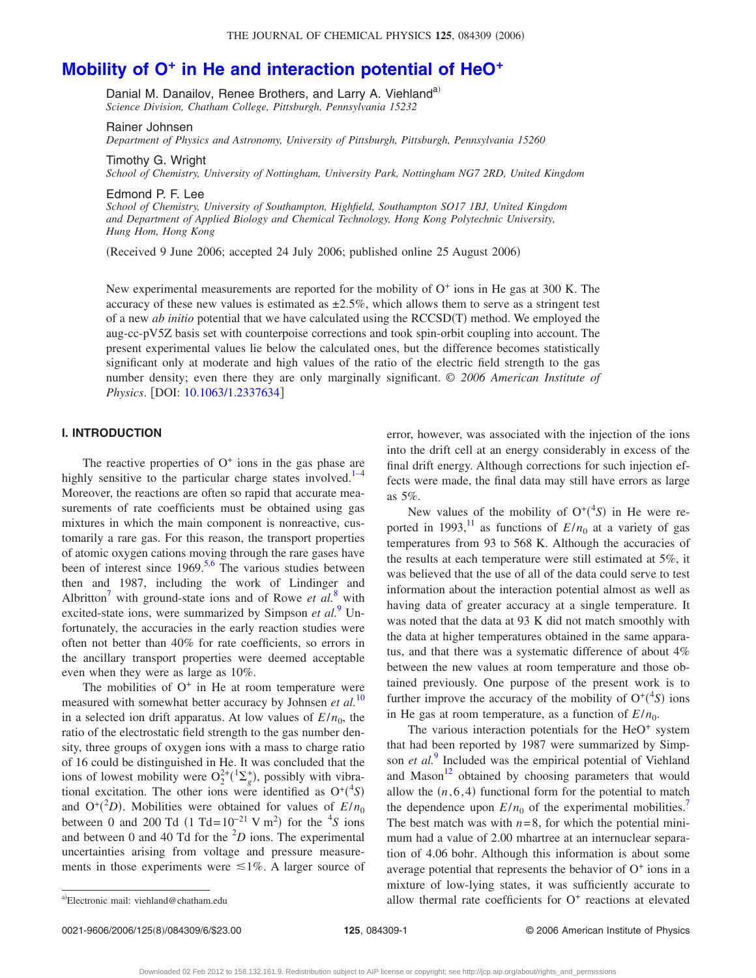# **Mobility of O<sup>+</sup> [in He and interaction potential of HeO](http://dx.doi.org/10.1063/1.2337634)<sup>+</sup>**

Danial M. Danailov, Renee Brothers, and Larry A. Viehland<sup>a)</sup> *Science Division, Chatham College, Pittsburgh, Pennsylvania 15232*

Rainer Johnsen *Department of Physics and Astronomy, University of Pittsburgh, Pittsburgh, Pennsylvania 15260*

Timothy G. Wright *School of Chemistry, University of Nottingham, University Park, Nottingham NG7 2RD, United Kingdom*

Edmond P. F. Lee *School of Chemistry, University of Southampton, Highfield, Southampton SO17 1BJ, United Kingdom and Department of Applied Biology and Chemical Technology, Hong Kong Polytechnic University, Hung Hom, Hong Kong*

(Received 9 June 2006; accepted 24 July 2006; published online 25 August 2006)

New experimental measurements are reported for the mobility of  $O<sup>+</sup>$  ions in He gas at 300 K. The accuracy of these new values is estimated as  $\pm 2.5\%$ , which allows them to serve as a stringent test of a new *ab initio* potential that we have calculated using the RCCSD(T) method. We employed the aug-cc-pV5Z basis set with counterpoise corrections and took spin-orbit coupling into account. The present experimental values lie below the calculated ones, but the difference becomes statistically significant only at moderate and high values of the ratio of the electric field strength to the gas number density; even there they are only marginally significant. © *2006 American Institute of Physics*. [DOI: [10.1063/1.2337634](http://dx.doi.org/10.1063/1.2337634)]

# **I. INTRODUCTION**

The reactive properties of  $O<sup>+</sup>$  ions in the gas phase are highly sensitive to the particular charge states involved.<sup>1–4</sup> Moreover, the reactions are often so rapid that accurate measurements of rate coefficients must be obtained using gas mixtures in which the main component is nonreactive, customarily a rare gas. For this reason, the transport properties of atomic oxygen cations moving through the rare gases have been of interest since  $1969$ .<sup>5,6</sup> The various studies between then and 1987, including the work of Lindinger and Albritton<sup>7</sup> with ground-state ions and of Rowe *et al.*<sup>[8](#page-5-0)</sup> with excited-state ions, were summarized by Simpson *et al.*<sup>[9](#page-5-0)</sup> Unfortunately, the accuracies in the early reaction studies were often not better than 40% for rate coefficients, so errors in the ancillary transport properties were deemed acceptable even when they were as large as 10%.

The mobilities of  $O<sup>+</sup>$  in He at room temperature were measured with somewhat better accuracy by Johnsen *et al.*<sup>[10](#page-5-0)</sup> in a selected ion drift apparatus. At low values of  $E/n_0$ , the ratio of the electrostatic field strength to the gas number density, three groups of oxygen ions with a mass to charge ratio of 16 could be distinguished in He. It was concluded that the ions of lowest mobility were  $O_2^{2+}(^1\Sigma_g^+)$ , possibly with vibrational excitation. The other ions were identified as  $O^+(4s)$ and  $O^+(2D)$ . Mobilities were obtained for values of  $E/n_0$ between 0 and 200 Td  $(1 \text{ Td} = 10^{-21} \text{ V m}^2)$  for the <sup>4</sup>S ions and between 0 and 40 Td for the  ${}^{2}D$  ions. The experimental uncertainties arising from voltage and pressure measurements in those experiments were  $\leq 1\%$ . A larger source of

error, however, was associated with the injection of the ions into the drift cell at an energy considerably in excess of the final drift energy. Although corrections for such injection effects were made, the final data may still have errors as large as 5%.

New values of the mobility of  $O^+(4s)$  in He were reported in 1993,<sup>11</sup> as functions of  $E/n_0$  at a variety of gas temperatures from 93 to 568 K. Although the accuracies of the results at each temperature were still estimated at 5%, it was believed that the use of all of the data could serve to test information about the interaction potential almost as well as having data of greater accuracy at a single temperature. It was noted that the data at 93 K did not match smoothly with the data at higher temperatures obtained in the same apparatus, and that there was a systematic difference of about 4% between the new values at room temperature and those obtained previously. One purpose of the present work is to further improve the accuracy of the mobility of  $O^+(^4S)$  ions in He gas at room temperature, as a function of  $E/n_0$ .

The various interaction potentials for the  $HeO<sup>+</sup>$  system that had been reported by 1987 were summarized by Simpson *et al.*[9](#page-5-0) Included was the empirical potential of Viehland and Mason<sup>12</sup> obtained by choosing parameters that would allow the  $(n, 6, 4)$  functional form for the potential to match the dependence upon  $E/n_0$  of the experimental mobilities.<sup>7</sup> The best match was with  $n=8$ , for which the potential minimum had a value of 2.00 mhartree at an internuclear separation of 4.06 bohr. Although this information is about some average potential that represents the behavior of  $O<sup>+</sup>$  ions in a mixture of low-lying states, it was sufficiently accurate to allow thermal rate coefficients for  $O<sup>+</sup>$  reactions at elevated

0021-9606/2006/125(8)/084309/6/\$23.00

Electronic mail: viehland@chatham.edu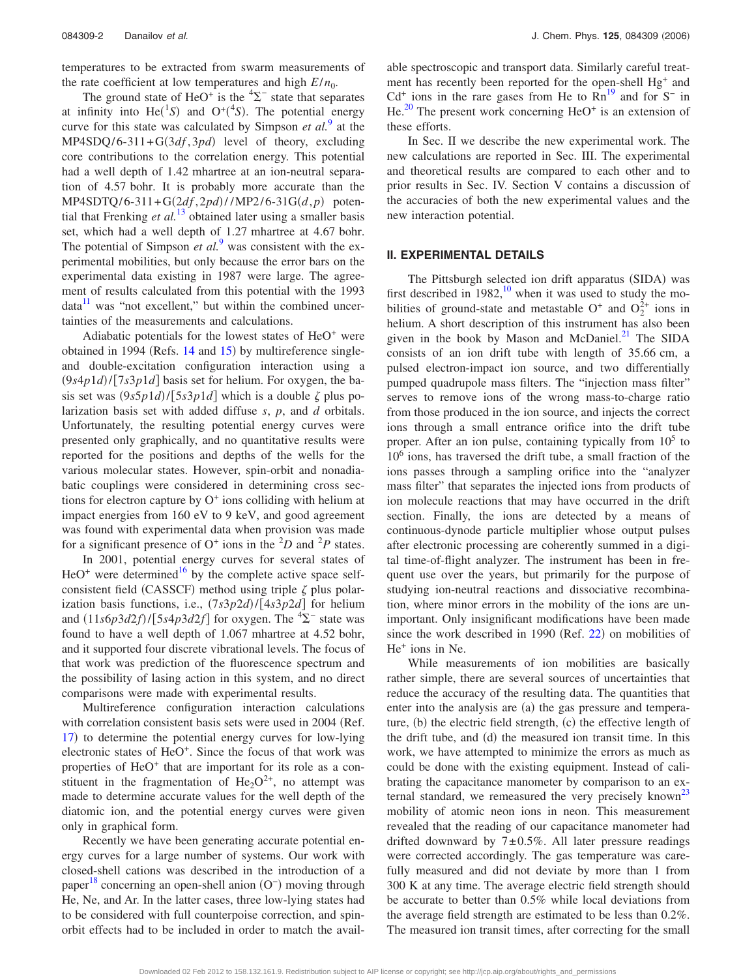temperatures to be extracted from swarm measurements of the rate coefficient at low temperatures and high  $E/n_0$ .

The ground state of HeO<sup>+</sup> is the  ${}^{4}\Sigma^{-}$  state that separates at infinity into  $He(^{1}S)$  and  $O^{+}({}^{4}S)$ . The potential energy curve for this state was calculated by Simpson *et al.*[9](#page-5-0) at the MP4SDQ/6-311+G(3df,3pd) level of theory, excluding core contributions to the correlation energy. This potential had a well depth of 1.42 mhartree at an ion-neutral separation of 4.57 bohr. It is probably more accurate than the  $MP4SDTQ/6-311+G(2df, 2pd)//MP2/6-31G(d, p)$  potential that Frenking *et al.*<sup>[13](#page-5-0)</sup> obtained later using a smaller basis set, which had a well depth of 1.27 mhartree at 4.67 bohr. The potential of Simpson *et al.*<sup>[9](#page-5-0)</sup> was consistent with the experimental mobilities, but only because the error bars on the experimental data existing in 1987 were large. The agreement of results calculated from this potential with the 1993  $data<sup>11</sup>$  was "not excellent," but within the combined uncertainties of the measurements and calculations.

Adiabatic potentials for the lowest states of  $HeO<sup>+</sup>$  were obtained in 1994 (Refs. [14](#page-5-0) and [15](#page-5-0)) by multireference singleand double-excitation configuration interaction using a  $(9s4p1d)/[7s3p1d]$  basis set for helium. For oxygen, the basis set was  $(9s5p1d)/[5s3p1d]$  which is a double  $\zeta$  plus polarization basis set with added diffuse *s*, *p*, and *d* orbitals. Unfortunately, the resulting potential energy curves were presented only graphically, and no quantitative results were reported for the positions and depths of the wells for the various molecular states. However, spin-orbit and nonadiabatic couplings were considered in determining cross sections for electron capture by  $O<sup>+</sup>$  ions colliding with helium at impact energies from 160 eV to 9 keV, and good agreement was found with experimental data when provision was made for a significant presence of  $O^+$  ions in the  ${}^2D$  and  ${}^2P$  states.

In 2001, potential energy curves for several states of  $HeO<sup>+</sup>$  were determined<sup>16</sup> by the complete active space selfconsistent field (CASSCF) method using triple  $\zeta$  plus polarization basis functions, i.e.,  $(7s3p2d)/[4s3p2d]$  for helium and  $(11s6p3d2f)/[5s4p3d2f]$  for oxygen. The  ${}^{4}\Sigma^{-}$  state was found to have a well depth of 1.067 mhartree at 4.52 bohr, and it supported four discrete vibrational levels. The focus of that work was prediction of the fluorescence spectrum and the possibility of lasing action in this system, and no direct comparisons were made with experimental results.

Multireference configuration interaction calculations with correlation consistent basis sets were used in 2004 (Ref. [17](#page-5-0)) to determine the potential energy curves for low-lying electronic states of HeO<sup>+</sup>. Since the focus of that work was properties of HeO<sup>+</sup> that are important for its role as a constituent in the fragmentation of  $He<sub>2</sub>O<sup>2+</sup>$ , no attempt was made to determine accurate values for the well depth of the diatomic ion, and the potential energy curves were given only in graphical form.

Recently we have been generating accurate potential energy curves for a large number of systems. Our work with closed-shell cations was described in the introduction of a paper<sup>[18](#page-5-0)</sup> concerning an open-shell anion (O<sup>−</sup>) moving through He, Ne, and Ar. In the latter cases, three low-lying states had to be considered with full counterpoise correction, and spinorbit effects had to be included in order to match the available spectroscopic and transport data. Similarly careful treatment has recently been reported for the open-shell Hg<sup>+</sup> and  $Cd<sup>+</sup>$  ions in the rare gases from He to  $Rn^{19}$  and for S<sup>−</sup> in He. $^{20}$  $^{20}$  $^{20}$  The present work concerning HeO<sup>+</sup> is an extension of these efforts.

In Sec. II we describe the new experimental work. The new calculations are reported in Sec. III. The experimental and theoretical results are compared to each other and to prior results in Sec. IV. Section V contains a discussion of the accuracies of both the new experimental values and the new interaction potential.

## **II. EXPERIMENTAL DETAILS**

The Pittsburgh selected ion drift apparatus (SIDA) was first described in  $1982$ ,<sup>10</sup> when it was used to study the mobilities of ground-state and metastable  $O^+$  and  $O_2^{2+}$  ions in helium. A short description of this instrument has also been given in the book by Mason and McDaniel.<sup>21</sup> The SIDA consists of an ion drift tube with length of 35.66 cm, a pulsed electron-impact ion source, and two differentially pumped quadrupole mass filters. The "injection mass filter" serves to remove ions of the wrong mass-to-charge ratio from those produced in the ion source, and injects the correct ions through a small entrance orifice into the drift tube proper. After an ion pulse, containing typically from  $10<sup>5</sup>$  to  $10<sup>6</sup>$  ions, has traversed the drift tube, a small fraction of the ions passes through a sampling orifice into the "analyzer mass filter" that separates the injected ions from products of ion molecule reactions that may have occurred in the drift section. Finally, the ions are detected by a means of continuous-dynode particle multiplier whose output pulses after electronic processing are coherently summed in a digital time-of-flight analyzer. The instrument has been in frequent use over the years, but primarily for the purpose of studying ion-neutral reactions and dissociative recombination, where minor errors in the mobility of the ions are unimportant. Only insignificant modifications have been made since the work described in 1990 (Ref.  $22$ ) on mobilities of He+ ions in Ne.

While measurements of ion mobilities are basically rather simple, there are several sources of uncertainties that reduce the accuracy of the resulting data. The quantities that enter into the analysis are (a) the gas pressure and temperature, (b) the electric field strength, (c) the effective length of the drift tube, and (d) the measured ion transit time. In this work, we have attempted to minimize the errors as much as could be done with the existing equipment. Instead of calibrating the capacitance manometer by comparison to an external standard, we remeasured the very precisely known<sup>23</sup> mobility of atomic neon ions in neon. This measurement revealed that the reading of our capacitance manometer had drifted downward by  $7\pm0.5\%$ . All later pressure readings were corrected accordingly. The gas temperature was carefully measured and did not deviate by more than 1 from 300 K at any time. The average electric field strength should be accurate to better than 0.5% while local deviations from the average field strength are estimated to be less than 0.2%. The measured ion transit times, after correcting for the small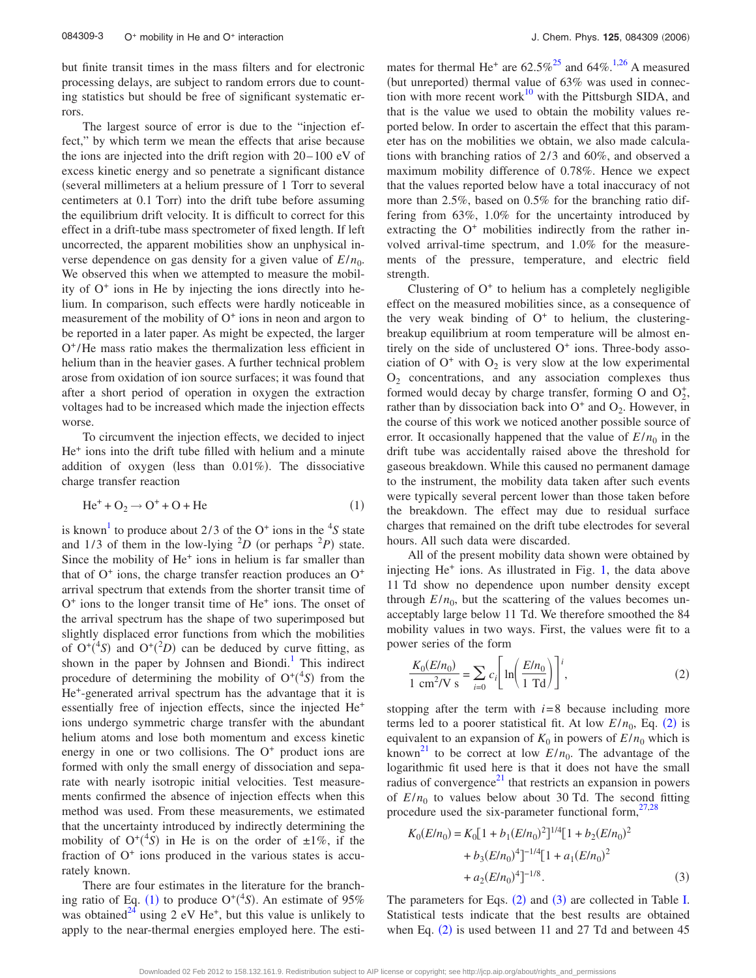<span id="page-2-0"></span>but finite transit times in the mass filters and for electronic processing delays, are subject to random errors due to counting statistics but should be free of significant systematic errors.

The largest source of error is due to the "injection effect," by which term we mean the effects that arise because the ions are injected into the drift region with  $20-100$  eV of excess kinetic energy and so penetrate a significant distance several millimeters at a helium pressure of 1 Torr to several centimeters at 0.1 Torr) into the drift tube before assuming the equilibrium drift velocity. It is difficult to correct for this effect in a drift-tube mass spectrometer of fixed length. If left uncorrected, the apparent mobilities show an unphysical inverse dependence on gas density for a given value of  $E/n_0$ . We observed this when we attempted to measure the mobility of  $O<sup>+</sup>$  ions in He by injecting the ions directly into helium. In comparison, such effects were hardly noticeable in measurement of the mobility of  $O<sup>+</sup>$  ions in neon and argon to be reported in a later paper. As might be expected, the larger  $O^+/He$  mass ratio makes the thermalization less efficient in helium than in the heavier gases. A further technical problem arose from oxidation of ion source surfaces; it was found that after a short period of operation in oxygen the extraction voltages had to be increased which made the injection effects worse.

To circumvent the injection effects, we decided to inject He+ ions into the drift tube filled with helium and a minute addition of oxygen (less than 0.01%). The dissociative charge transfer reaction

$$
\text{He}^+ + \text{O}_2 \rightarrow \text{O}^+ + \text{O} + \text{He} \tag{1}
$$

is known<sup>1</sup> to produce about 2/3 of the  $O^+$  ions in the <sup>4</sup>S state and 1/3 of them in the low-lying  ${}^{2}D$  (or perhaps  ${}^{2}P$ ) state. Since the mobility of  $He<sup>+</sup>$  ions in helium is far smaller than that of  $O<sup>+</sup>$  ions, the charge transfer reaction produces an  $O<sup>+</sup>$ arrival spectrum that extends from the shorter transit time of  $O<sup>+</sup>$  ions to the longer transit time of He<sup> $+$ </sup> ions. The onset of the arrival spectrum has the shape of two superimposed but slightly displaced error functions from which the mobilities of  $O^+(4S)$  and  $O^+(2D)$  can be deduced by curve fitting, as shown in the paper by Johnsen and Biondi.<sup>1</sup> This indirect procedure of determining the mobility of  $O^+(^4S)$  from the He+-generated arrival spectrum has the advantage that it is essentially free of injection effects, since the injected He+ ions undergo symmetric charge transfer with the abundant helium atoms and lose both momentum and excess kinetic energy in one or two collisions. The  $O<sup>+</sup>$  product ions are formed with only the small energy of dissociation and separate with nearly isotropic initial velocities. Test measurements confirmed the absence of injection effects when this method was used. From these measurements, we estimated that the uncertainty introduced by indirectly determining the mobility of  $O^+(^4S)$  in He is on the order of  $\pm 1\%$ , if the fraction of  $O<sup>+</sup>$  ions produced in the various states is accurately known.

There are four estimates in the literature for the branching ratio of Eq. (1) to produce  $O^{+(4}S)$ . An estimate of 95% was obtained<sup>24</sup> using 2 eV He<sup>+</sup>, but this value is unlikely to apply to the near-thermal energies employed here. The estimates for thermal He<sup>+</sup> are  $62.5\%^{25}$  and  $64\%^{1,26}$  A measured (but unreported) thermal value of 63% was used in connection with more recent work $10$  with the Pittsburgh SIDA, and that is the value we used to obtain the mobility values reported below. In order to ascertain the effect that this parameter has on the mobilities we obtain, we also made calculations with branching ratios of  $2/3$  and  $60\%$ , and observed a maximum mobility difference of 0.78%. Hence we expect that the values reported below have a total inaccuracy of not more than 2.5%, based on 0.5% for the branching ratio differing from 63%, 1.0% for the uncertainty introduced by extracting the  $O<sup>+</sup>$  mobilities indirectly from the rather involved arrival-time spectrum, and 1.0% for the measurements of the pressure, temperature, and electric field strength.

Clustering of  $O<sup>+</sup>$  to helium has a completely negligible effect on the measured mobilities since, as a consequence of the very weak binding of  $O<sup>+</sup>$  to helium, the clusteringbreakup equilibrium at room temperature will be almost entirely on the side of unclustered  $O<sup>+</sup>$  ions. Three-body association of  $O^+$  with  $O_2$  is very slow at the low experimental  $O<sub>2</sub>$  concentrations, and any association complexes thus formed would decay by charge transfer, forming O and  $O_2^+$ , rather than by dissociation back into  $O<sup>+</sup>$  and  $O<sub>2</sub>$ . However, in the course of this work we noticed another possible source of error. It occasionally happened that the value of  $E/n_0$  in the drift tube was accidentally raised above the threshold for gaseous breakdown. While this caused no permanent damage to the instrument, the mobility data taken after such events were typically several percent lower than those taken before the breakdown. The effect may due to residual surface charges that remained on the drift tube electrodes for several hours. All such data were discarded.

All of the present mobility data shown were obtained by injecting  $He<sup>+</sup>$  ions. As illustrated in Fig. [1,](#page-3-0) the data above 11 Td show no dependence upon number density except through  $E/n_0$ , but the scattering of the values becomes unacceptably large below 11 Td. We therefore smoothed the 84 mobility values in two ways. First, the values were fit to a power series of the form

$$
\frac{K_0(E/n_0)}{1 \text{ cm}^2/\text{V s}} = \sum_{i=0} c_i \left[ \ln \left( \frac{E/n_0}{1 \text{ Td}} \right) \right]^i,
$$
 (2)

stopping after the term with  $i=8$  because including more terms led to a poorer statistical fit. At low  $E/n_0$ , Eq. (2) is equivalent to an expansion of  $K_0$  in powers of  $E/n_0$  which is known<sup>21</sup> to be correct at low  $E/n_0$ . The advantage of the logarithmic fit used here is that it does not have the small radius of convergence $^{21}$  that restricts an expansion in powers of  $E/n_0$  to values below about 30 Td. The second fitting procedure used the six-parameter functional form,  $27,28$ 

$$
K_0(E/n_0) = K_0[1 + b_1(E/n_0)^2]^{1/4}[1 + b_2(E/n_0)^2
$$
  
+  $b_3(E/n_0)^4]^{-1/4}[1 + a_1(E/n_0)^2$   
+  $a_2(E/n_0)^4]^{-1/8}$ . (3)

The parameters for Eqs.  $(2)$  and  $(3)$  are collected in Table [I.](#page-3-0) Statistical tests indicate that the best results are obtained when Eq.  $(2)$  is used between 11 and 27 Td and between 45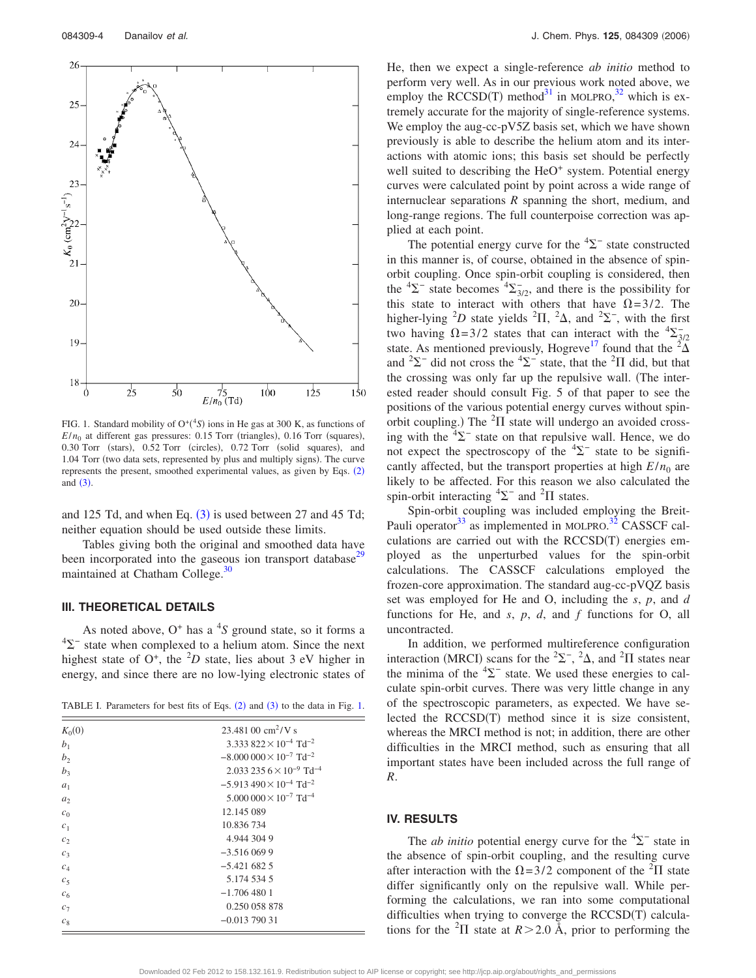<span id="page-3-0"></span>

FIG. 1. Standard mobility of  $O^+(^4S)$  ions in He gas at 300 K, as functions of  $E/n_0$  at different gas pressures: 0.15 Torr (triangles), 0.16 Torr (squares), 0.30 Torr (stars), 0.52 Torr (circles), 0.72 Torr (solid squares), and 1.04 Torr (two data sets, represented by plus and multiply signs). The curve represents the present, smoothed experimental values, as given by Eqs. ([2](#page-2-0)) and  $(3)$  $(3)$  $(3)$ .

and 125 Td, and when Eq.  $(3)$  $(3)$  $(3)$  is used between 27 and 45 Td; neither equation should be used outside these limits.

Tables giving both the original and smoothed data have been incorporated into the gaseous ion transport database<sup>29</sup> maintained at Chatham College.<sup>30</sup>

# **III. THEORETICAL DETAILS**

As noted above, O<sup>+</sup> has a <sup>4</sup>S ground state, so it forms a  $4\Sigma$ <sup>-</sup> state when complexed to a helium atom. Since the next highest state of  $O^+$ , the  ${}^2D$  state, lies about 3 eV higher in energy, and since there are no low-lying electronic states of

TABLE I. Parameters for best fits of Eqs.  $(2)$  $(2)$  $(2)$  and  $(3)$  $(3)$  $(3)$  to the data in Fig. 1.

| $K_0(0)$       | $23.48100 \text{ cm}^2$ /V s                         |  |  |  |  |
|----------------|------------------------------------------------------|--|--|--|--|
| b <sub>1</sub> | 3.333 822 $\times$ 10 <sup>-4</sup> Td <sup>-2</sup> |  |  |  |  |
| b <sub>2</sub> | $-8.000\,000\times10^{-7}$ Td <sup>-2</sup>          |  |  |  |  |
| b <sub>3</sub> | $2.0332356\times10^{-9}$ Td <sup>-4</sup>            |  |  |  |  |
| a <sub>1</sub> | $-5.913490\times10^{-4}$ Td <sup>-2</sup>            |  |  |  |  |
| a <sub>2</sub> | $5.000\,000\times10^{-7}$ Td <sup>-4</sup>           |  |  |  |  |
| c <sub>0</sub> | 12.145 089                                           |  |  |  |  |
| c <sub>1</sub> | 10.836 734                                           |  |  |  |  |
| c <sub>2</sub> | 4.944 304 9                                          |  |  |  |  |
| $c_3$          | $-3.5160699$                                         |  |  |  |  |
| $c_4$          | $-5.4216825$                                         |  |  |  |  |
| c <sub>5</sub> | 5.174 534 5                                          |  |  |  |  |
| c <sub>6</sub> | $-1.7064801$                                         |  |  |  |  |
| $c_7$          | 0.250 058 878                                        |  |  |  |  |
| $c_{8}$        | $-0.013$ 790 31                                      |  |  |  |  |
|                |                                                      |  |  |  |  |

He, then we expect a single-reference *ab initio* method to perform very well. As in our previous work noted above, we employ the  $RCCSD(T)$  method<sup>31</sup> in MOLPRO,<sup>[32](#page-5-0)</sup> which is extremely accurate for the majority of single-reference systems. We employ the aug-cc-pV5Z basis set, which we have shown previously is able to describe the helium atom and its interactions with atomic ions; this basis set should be perfectly well suited to describing the HeO<sup>+</sup> system. Potential energy curves were calculated point by point across a wide range of internuclear separations *R* spanning the short, medium, and long-range regions. The full counterpoise correction was applied at each point.

The potential energy curve for the  ${}^{4}\Sigma^{-}$  state constructed in this manner is, of course, obtained in the absence of spinorbit coupling. Once spin-orbit coupling is considered, then the  ${}^{4}\Sigma^{-}$  state becomes  ${}^{4}\Sigma^{-}_{3/2}$ , and there is the possibility for this state to interact with others that have  $\Omega = 3/2$ . The higher-lying <sup>2</sup>D state yields <sup>2</sup> $\Pi$ , <sup>2</sup> $\Delta$ , and <sup>2</sup> $\Sigma$ <sup>-</sup>, with the first two having  $\Omega = 3/2$  states that can interact with the  $\frac{4\sum_{i=1}^{n} x_i}{\sum_{i=1}^{n} x_i}$ state. As mentioned previously, Hogreve<sup>17</sup> found that the  $\sqrt[2]{\Delta}$ and  ${}^{2}\Sigma^{-}$  did not cross the  ${}^{4}\Sigma^{-}$  state, that the  ${}^{2}\Pi$  did, but that the crossing was only far up the repulsive wall. The interested reader should consult Fig. 5 of that paper to see the positions of the various potential energy curves without spinorbit coupling.) The  ${}^{2}$ II state will undergo an avoided crossing with the  ${}^{4}\Sigma^{-}$  state on that repulsive wall. Hence, we do not expect the spectroscopy of the  ${}^{4}\Sigma^{-}$  state to be significantly affected, but the transport properties at high  $E/n_0$  are likely to be affected. For this reason we also calculated the spin-orbit interacting  ${}^{4}\Sigma^{-}$  and  ${}^{2}\Pi$  states.

Spin-orbit coupling was included employing the Breit-Pauli operator<sup>33</sup> as implemented in MOLPRO.<sup>[32](#page-5-0)</sup> CASSCF calculations are carried out with the RCCSD(T) energies employed as the unperturbed values for the spin-orbit calculations. The CASSCF calculations employed the frozen-core approximation. The standard aug-cc-pVQZ basis set was employed for He and O, including the *s*, *p*, and *d* functions for He, and *s*, *p*, *d*, and *f* functions for O, all uncontracted.

In addition, we performed multireference configuration interaction (MRCI) scans for the <sup>2</sup> $\Sigma^-$ , <sup>2</sup> $\Delta$ , and <sup>2</sup> $\Pi$  states near the minima of the  ${}^{4}\Sigma^{-}$  state. We used these energies to calculate spin-orbit curves. There was very little change in any of the spectroscopic parameters, as expected. We have selected the RCCSD(T) method since it is size consistent, whereas the MRCI method is not; in addition, there are other difficulties in the MRCI method, such as ensuring that all important states have been included across the full range of *R*.

# **IV. RESULTS**

The *ab initio* potential energy curve for the  ${}^{4}\Sigma^{-}$  state in the absence of spin-orbit coupling, and the resulting curve after interaction with the  $\Omega = 3/2$  component of the <sup>2</sup>II state differ significantly only on the repulsive wall. While performing the calculations, we ran into some computational difficulties when trying to converge the RCCSD(T) calculations for the <sup>2</sup>II state at  $R > 2.0$  Å, prior to performing the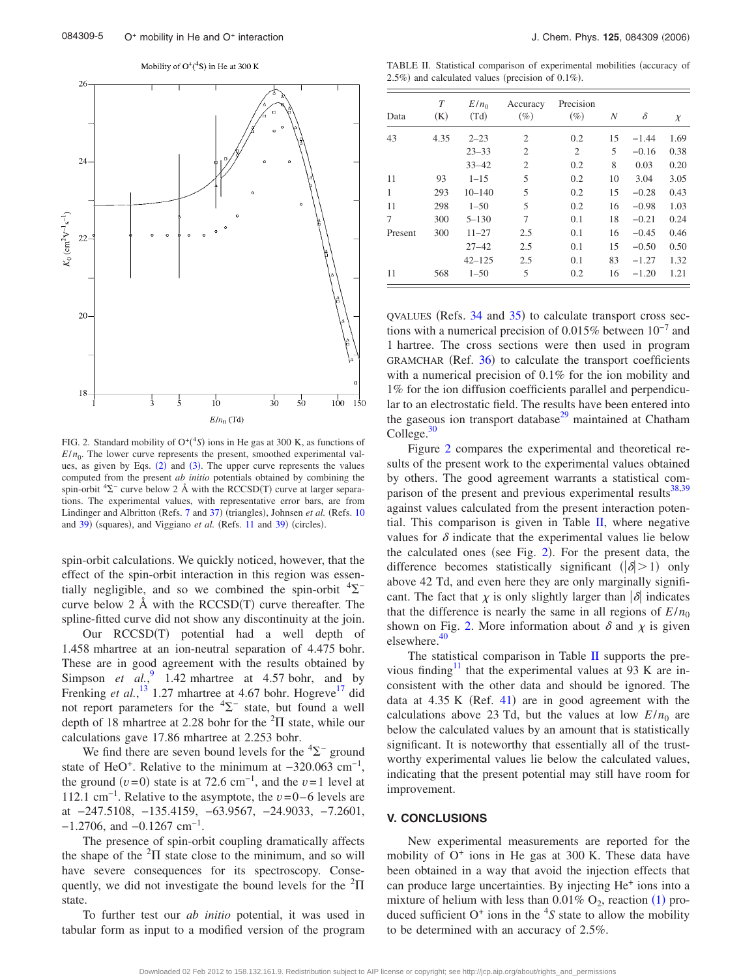Mobility of  $O^+(4S)$  in He at 300 K



FIG. 2. Standard mobility of  $O^+(^4S)$  ions in He gas at 300 K, as functions of  $E/n_0$ . The lower curve represents the present, smoothed experimental values, as given by Eqs.  $(2)$  $(2)$  $(2)$  and  $(3)$  $(3)$  $(3)$ . The upper curve represents the values computed from the present *ab initio* potentials obtained by combining the spin-orbit  ${}^{4}\Sigma^{-}$  curve below 2 Å with the RCCSD(T) curve at larger separations. The experimental values, with representative error bars, are from Lindinger and Albritton (Refs. [7](#page-5-0) and [37](#page-5-0)) (triangles), Johnsen et al. (Refs. [10](#page-5-0) and [39](#page-5-0)) (squares), and Viggiano et al. (Refs. [11](#page-5-0) and 39) (circles).

spin-orbit calculations. We quickly noticed, however, that the effect of the spin-orbit interaction in this region was essentially negligible, and so we combined the spin-orbit  ${}^{4}\Sigma^{-}$ curve below 2 Å with the  $RCCSD(T)$  curve thereafter. The spline-fitted curve did not show any discontinuity at the join.

Our RCCSD(T) potential had a well depth of 1.458 mhartree at an ion-neutral separation of 4.475 bohr. These are in good agreement with the results obtained by Simpson *et al.*,  $\frac{9}{2}$  $\frac{9}{2}$  $\frac{9}{2}$  1.42 mhartree at 4.57 bohr, and by Frenking *et al.*,<sup>[13](#page-5-0)</sup> 1.27 mhartree at 4.67 bohr. Hogreve<sup>17</sup> did not report parameters for the  ${}^{4}\Sigma^{-}$  state, but found a well depth of 18 mhartree at 2.28 bohr for the  ${}^{2}$  $\Pi$  state, while our calculations gave 17.86 mhartree at 2.253 bohr.

We find there are seven bound levels for the  ${}^{4}\Sigma^{-}$  ground state of HeO<sup>+</sup>. Relative to the minimum at  $-320.063$  cm<sup>-1</sup>, the ground  $(v=0)$  state is at 72.6 cm<sup>-1</sup>, and the  $v=1$  level at 112.1 cm−1. Relative to the asymptote, the *v*=0–6 levels are at −247.5108, −135.4159, −63.9567, −24.9033, −7.2601,  $-1.2706$ , and  $-0.1267$  cm<sup>-1</sup>.

The presence of spin-orbit coupling dramatically affects the shape of the  ${}^{2}\Pi$  state close to the minimum, and so will have severe consequences for its spectroscopy. Consequently, we did not investigate the bound levels for the  ${}^{2}\Pi$ state.

To further test our *ab initio* potential, it was used in tabular form as input to a modified version of the program

TABLE II. Statistical comparison of experimental mobilities (accuracy of  $2.5\%$ ) and calculated values (precision of 0.1%).

| Data    | T<br>(K) | $E/n_0$<br>(Td) | Accuracy<br>$(\%)$ | Precision<br>$(\%)$ | N  | δ       | $\chi$ |
|---------|----------|-----------------|--------------------|---------------------|----|---------|--------|
| 43      | 4.35     | $2 - 23$        | $\overline{2}$     | 0.2                 | 15 | $-1.44$ | 1.69   |
|         |          | $23 - 33$       | $\overline{c}$     | 2                   | 5  | $-0.16$ | 0.38   |
|         |          | $33 - 42$       | $\overline{2}$     | 0.2                 | 8  | 0.03    | 0.20   |
| 11      | 93       | $1 - 15$        | 5                  | 0.2                 | 10 | 3.04    | 3.05   |
| 1       | 293      | $10 - 140$      | 5                  | 0.2                 | 15 | $-0.28$ | 0.43   |
| 11      | 298      | $1 - 50$        | 5                  | 0.2                 | 16 | $-0.98$ | 1.03   |
| 7       | 300      | $5 - 130$       | 7                  | 0.1                 | 18 | $-0.21$ | 0.24   |
| Present | 300      | $11 - 27$       | 2.5                | 0.1                 | 16 | $-0.45$ | 0.46   |
|         |          | $27 - 42$       | 2.5                | 0.1                 | 15 | $-0.50$ | 0.50   |
|         |          | $42 - 125$      | 2.5                | 0.1                 | 83 | $-1.27$ | 1.32   |
| 11      | 568      | $1 - 50$        | 5                  | 0.2                 | 16 | $-1.20$ | 1.21   |

 $QVALUES$  (Refs. [34](#page-5-0) and [35](#page-5-0)) to calculate transport cross sections with a numerical precision of 0.015% between 10−7 and 1 hartree. The cross sections were then used in program GRAMCHAR (Ref. [36](#page-5-0)) to calculate the transport coefficients with a numerical precision of 0.1% for the ion mobility and 1% for the ion diffusion coefficients parallel and perpendicular to an electrostatic field. The results have been entered into the gaseous ion transport database<sup>29</sup> maintained at Chatham College. $30$ 

Figure 2 compares the experimental and theoretical results of the present work to the experimental values obtained by others. The good agreement warrants a statistical comparison of the present and previous experimental results<sup>38,39</sup> against values calculated from the present interaction potential. This comparison is given in Table  $II$ , where negative values for  $\delta$  indicate that the experimental values lie below the calculated ones (see Fig.  $2$ ). For the present data, the difference becomes statistically significant  $(|\delta| > 1)$  only above 42 Td, and even here they are only marginally significant. The fact that  $\chi$  is only slightly larger than  $|\delta|$  indicates that the difference is nearly the same in all regions of  $E/n_0$ shown on Fig. 2. More information about  $\delta$  and  $\chi$  is given elsewhere.<sup>4</sup>

The statistical comparison in Table II supports the previous finding<sup>11</sup> that the experimental values at 93 K are inconsistent with the other data and should be ignored. The data at  $4.35$  K (Ref.  $41$ ) are in good agreement with the calculations above 23 Td, but the values at low  $E/n_0$  are below the calculated values by an amount that is statistically significant. It is noteworthy that essentially all of the trustworthy experimental values lie below the calculated values, indicating that the present potential may still have room for improvement.

### **V. CONCLUSIONS**

New experimental measurements are reported for the mobility of  $O<sup>+</sup>$  ions in He gas at 300 K. These data have been obtained in a way that avoid the injection effects that can produce large uncertainties. By injecting He+ ions into a mixture of helium with less than  $0.01\%$  $0.01\%$  $0.01\%$  O<sub>2</sub>, reaction (1) produced sufficient  $O^+$  ions in the  ${}^4S$  state to allow the mobility to be determined with an accuracy of 2.5%.